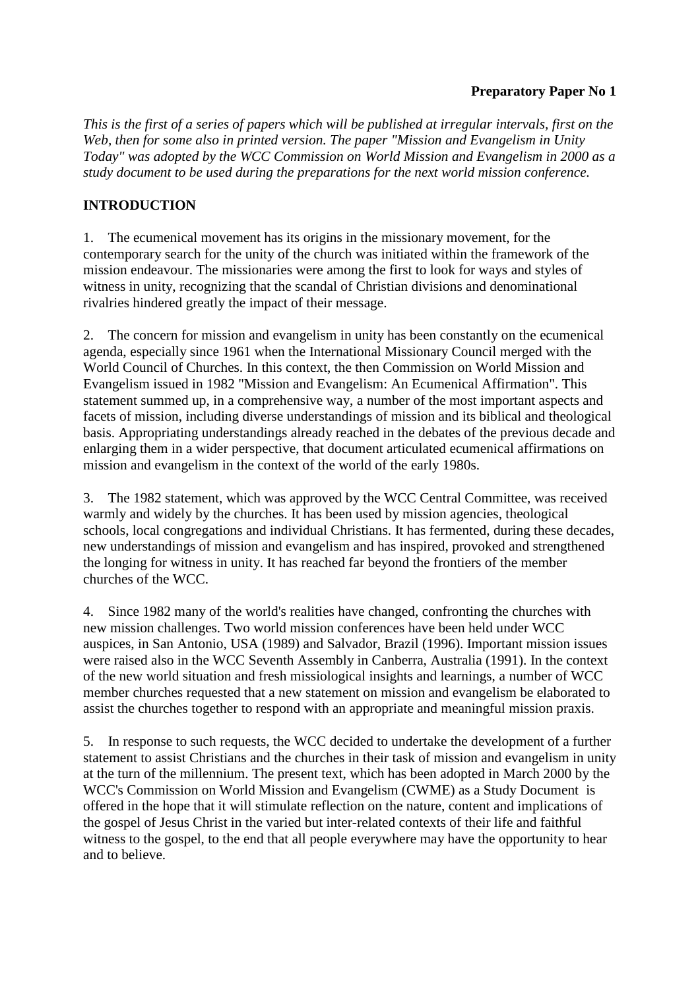## **Preparatory Paper No 1**

*This is the first of a series of papers which will be published at irregular intervals, first on the Web, then for some also in printed version. The paper "Mission and Evangelism in Unity Today" was adopted by the WCC Commission on World Mission and Evangelism in 2000 as a study document to be used during the preparations for the next world mission conference.*

### **INTRODUCTION**

1. The ecumenical movement has its origins in the missionary movement, for the contemporary search for the unity of the church was initiated within the framework of the mission endeavour. The missionaries were among the first to look for ways and styles of witness in unity, recognizing that the scandal of Christian divisions and denominational rivalries hindered greatly the impact of their message.

2. The concern for mission and evangelism in unity has been constantly on the ecumenical agenda, especially since 1961 when the International Missionary Council merged with the World Council of Churches. In this context, the then Commission on World Mission and Evangelism issued in 1982 "Mission and Evangelism: An Ecumenical Affirmation". This statement summed up, in a comprehensive way, a number of the most important aspects and facets of mission, including diverse understandings of mission and its biblical and theological basis. Appropriating understandings already reached in the debates of the previous decade and enlarging them in a wider perspective, that document articulated ecumenical affirmations on mission and evangelism in the context of the world of the early 1980s.

3. The 1982 statement, which was approved by the WCC Central Committee, was received warmly and widely by the churches. It has been used by mission agencies, theological schools, local congregations and individual Christians. It has fermented, during these decades, new understandings of mission and evangelism and has inspired, provoked and strengthened the longing for witness in unity. It has reached far beyond the frontiers of the member churches of the WCC.

4. Since 1982 many of the world's realities have changed, confronting the churches with new mission challenges. Two world mission conferences have been held under WCC auspices, in San Antonio, USA (1989) and Salvador, Brazil (1996). Important mission issues were raised also in the WCC Seventh Assembly in Canberra, Australia (1991). In the context of the new world situation and fresh missiological insights and learnings, a number of WCC member churches requested that a new statement on mission and evangelism be elaborated to assist the churches together to respond with an appropriate and meaningful mission praxis.

5. In response to such requests, the WCC decided to undertake the development of a further statement to assist Christians and the churches in their task of mission and evangelism in unity at the turn of the millennium. The present text, which has been adopted in March 2000 by the WCC's Commission on World Mission and Evangelism (CWME) as a Study Document is offered in the hope that it will stimulate reflection on the nature, content and implications of the gospel of Jesus Christ in the varied but inter-related contexts of their life and faithful witness to the gospel, to the end that all people everywhere may have the opportunity to hear and to believe.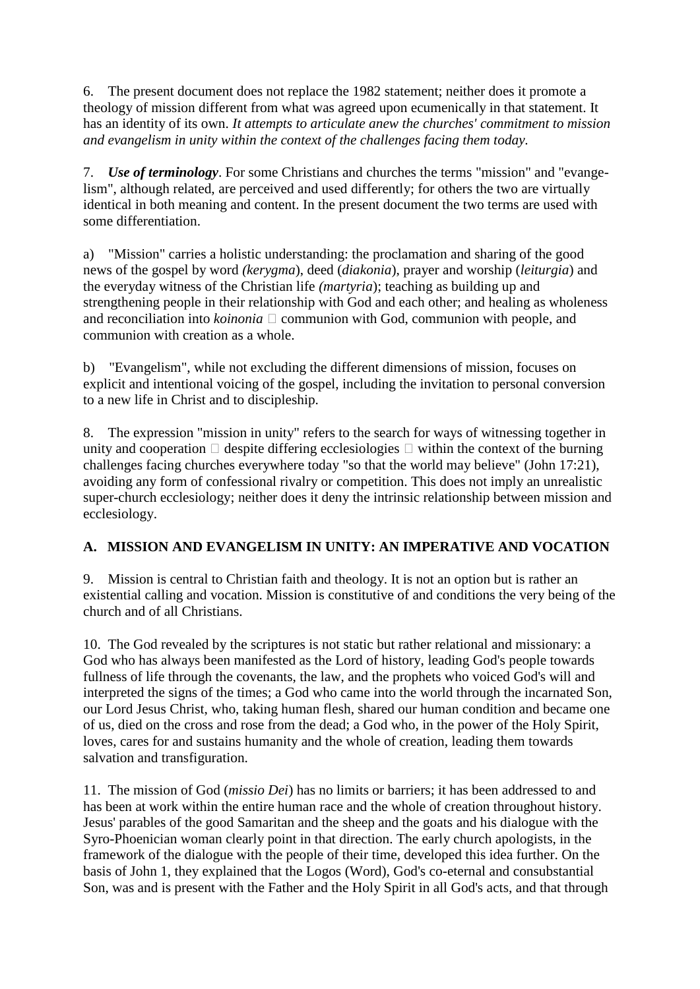6. The present document does not replace the 1982 statement; neither does it promote a theology of mission different from what was agreed upon ecumenically in that statement. It has an identity of its own. *It attempts to articulate anew the churches' commitment to mission and evangelism in unity within the context of the challenges facing them today.*

7. *Use of terminology*. For some Christians and churches the terms "mission" and "evangelism", although related, are perceived and used differently; for others the two are virtually identical in both meaning and content. In the present document the two terms are used with some differentiation.

a) "Mission" carries a holistic understanding: the proclamation and sharing of the good news of the gospel by word *(kerygma*), deed (*diakonia*), prayer and worship (*leiturgia*) and the everyday witness of the Christian life *(martyria*); teaching as building up and strengthening people in their relationship with God and each other; and healing as wholeness and reconciliation into *koinonia*  $\Box$  communion with God, communion with people, and communion with creation as a whole.

b) "Evangelism", while not excluding the different dimensions of mission, focuses on explicit and intentional voicing of the gospel, including the invitation to personal conversion to a new life in Christ and to discipleship.

8. The expression "mission in unity" refers to the search for ways of witnessing together in unity and cooperation  $\Box$  despite differing ecclesiologies  $\Box$  within the context of the burning challenges facing churches everywhere today "so that the world may believe" (John 17:21), avoiding any form of confessional rivalry or competition. This does not imply an unrealistic super-church ecclesiology; neither does it deny the intrinsic relationship between mission and ecclesiology.

# **A. MISSION AND EVANGELISM IN UNITY: AN IMPERATIVE AND VOCATION**

9. Mission is central to Christian faith and theology. It is not an option but is rather an existential calling and vocation. Mission is constitutive of and conditions the very being of the church and of all Christians.

10. The God revealed by the scriptures is not static but rather relational and missionary: a God who has always been manifested as the Lord of history, leading God's people towards fullness of life through the covenants, the law, and the prophets who voiced God's will and interpreted the signs of the times; a God who came into the world through the incarnated Son, our Lord Jesus Christ, who, taking human flesh, shared our human condition and became one of us, died on the cross and rose from the dead; a God who, in the power of the Holy Spirit, loves, cares for and sustains humanity and the whole of creation, leading them towards salvation and transfiguration.

11. The mission of God (*missio Dei*) has no limits or barriers; it has been addressed to and has been at work within the entire human race and the whole of creation throughout history. Jesus' parables of the good Samaritan and the sheep and the goats and his dialogue with the Syro-Phoenician woman clearly point in that direction. The early church apologists, in the framework of the dialogue with the people of their time, developed this idea further. On the basis of John 1, they explained that the Logos (Word), God's co-eternal and consubstantial Son, was and is present with the Father and the Holy Spirit in all God's acts, and that through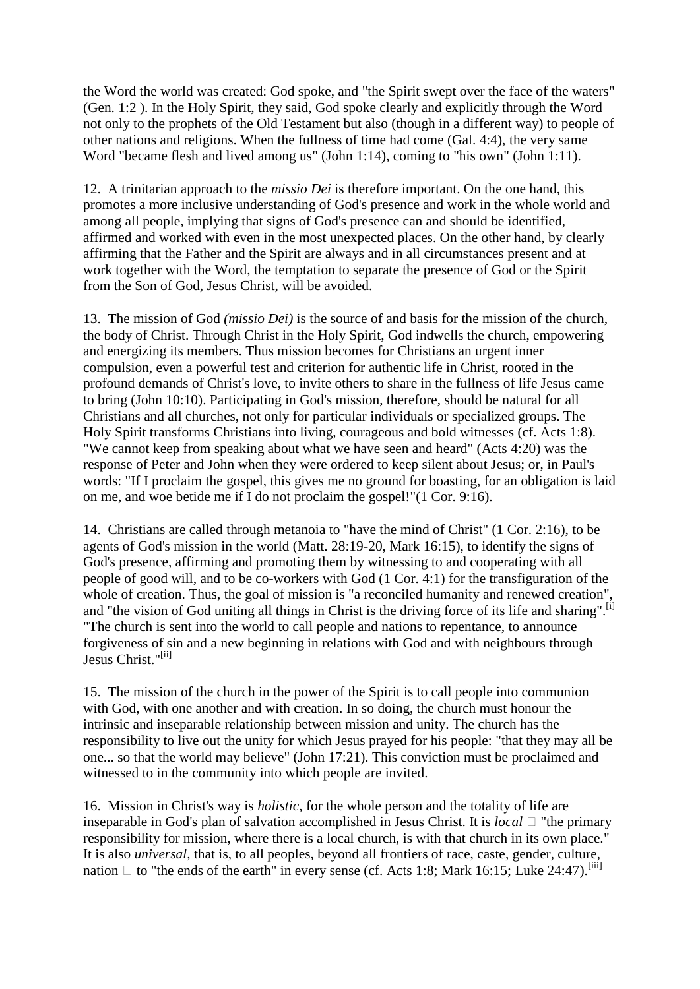the Word the world was created: God spoke, and "the Spirit swept over the face of the waters" (Gen. 1:2 ). In the Holy Spirit, they said, God spoke clearly and explicitly through the Word not only to the prophets of the Old Testament but also (though in a different way) to people of other nations and religions. When the fullness of time had come (Gal. 4:4), the very same Word "became flesh and lived among us" (John 1:14), coming to "his own" (John 1:11).

12. A trinitarian approach to the *missio Dei* is therefore important. On the one hand, this promotes a more inclusive understanding of God's presence and work in the whole world and among all people, implying that signs of God's presence can and should be identified, affirmed and worked with even in the most unexpected places. On the other hand, by clearly affirming that the Father and the Spirit are always and in all circumstances present and at work together with the Word, the temptation to separate the presence of God or the Spirit from the Son of God, Jesus Christ, will be avoided.

13. The mission of God *(missio Dei)* is the source of and basis for the mission of the church, the body of Christ. Through Christ in the Holy Spirit, God indwells the church, empowering and energizing its members. Thus mission becomes for Christians an urgent inner compulsion, even a powerful test and criterion for authentic life in Christ, rooted in the profound demands of Christ's love, to invite others to share in the fullness of life Jesus came to bring (John 10:10). Participating in God's mission, therefore, should be natural for all Christians and all churches, not only for particular individuals or specialized groups. The Holy Spirit transforms Christians into living, courageous and bold witnesses (cf. Acts 1:8). "We cannot keep from speaking about what we have seen and heard" (Acts 4:20) was the response of Peter and John when they were ordered to keep silent about Jesus; or, in Paul's words: "If I proclaim the gospel, this gives me no ground for boasting, for an obligation is laid on me, and woe betide me if I do not proclaim the gospel!"(1 Cor. 9:16).

14. Christians are called through metanoia to "have the mind of Christ" (1 Cor. 2:16), to be agents of God's mission in the world (Matt. 28:19-20, Mark 16:15), to identify the signs of God's presence, affirming and promoting them by witnessing to and cooperating with all people of good will, and to be co-workers with God (1 Cor. 4:1) for the transfiguration of the whole of creation. Thus, the goal of mission is "a reconciled humanity and renewed creation" and "the vision of God uniting all things in Christ is the driving force of its life and sharing".<sup>[i]</sup> "The church is sent into the world to call people and nations to repentance, to announce forgiveness of sin and a new beginning in relations with God and with neighbours through Jesus Christ."[ii]

15. The mission of the church in the power of the Spirit is to call people into communion with God, with one another and with creation. In so doing, the church must honour the intrinsic and inseparable relationship between mission and unity. The church has the responsibility to live out the unity for which Jesus prayed for his people: "that they may all be one... so that the world may believe" (John 17:21). This conviction must be proclaimed and witnessed to in the community into which people are invited.

16. Mission in Christ's way is *holistic*, for the whole person and the totality of life are inseparable in God's plan of salvation accomplished in Jesus Christ. It is  $local \sqcup$  "the primary responsibility for mission, where there is a local church, is with that church in its own place." It is also *universal,* that is, to all peoples, beyond all frontiers of race, caste, gender, culture, nation  $\Box$  to "the ends of the earth" in every sense (cf. Acts 1:8; Mark 16:15; Luke 24:47).<sup>[iii]</sup>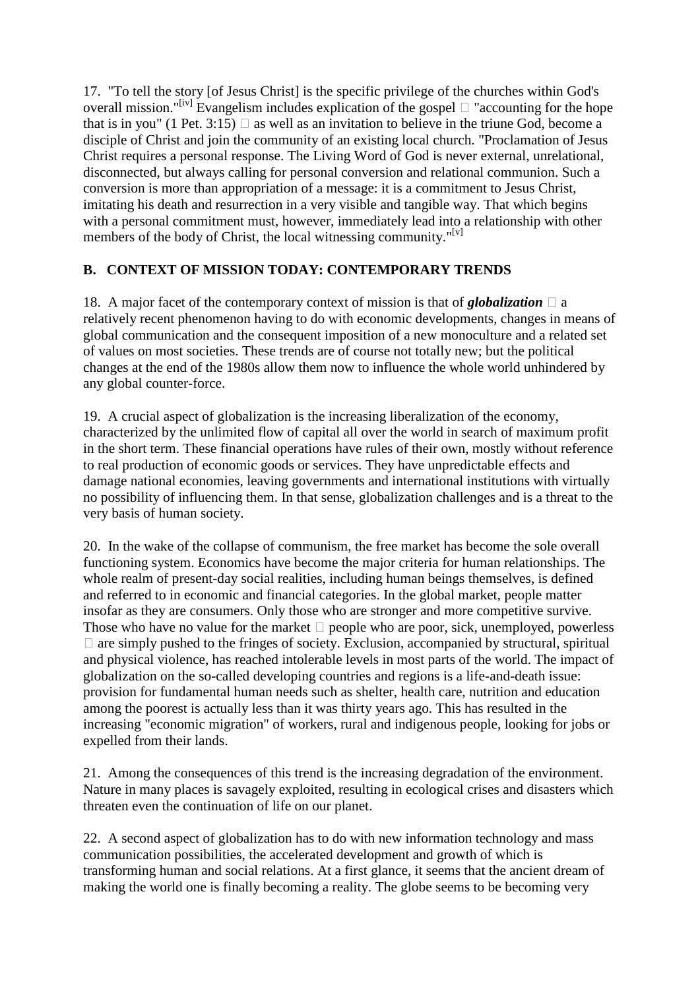17. "To tell the story [of Jesus Christ] is the specific privilege of the churches within God's overall mission."<sup>[iv]</sup> Evangelism includes explication of the gospel  $\Box$  "accounting for the hope that is in you" (1 Pet. 3:15)  $\Box$  as well as an invitation to believe in the triune God, become a disciple of Christ and join the community of an existing local church. "Proclamation of Jesus Christ requires a personal response. The Living Word of God is never external, unrelational, disconnected, but always calling for personal conversion and relational communion. Such a conversion is more than appropriation of a message: it is a commitment to Jesus Christ, imitating his death and resurrection in a very visible and tangible way. That which begins with a personal commitment must, however, immediately lead into a relationship with other members of the body of Christ, the local witnessing community." $[v]$ 

### **B. CONTEXT OF MISSION TODAY: CONTEMPORARY TRENDS**

18. A major facet of the contemporary context of mission is that of *globalization*  $\Box$  a relatively recent phenomenon having to do with economic developments, changes in means of global communication and the consequent imposition of a new monoculture and a related set of values on most societies. These trends are of course not totally new; but the political changes at the end of the 1980s allow them now to influence the whole world unhindered by any global counter-force.

19. A crucial aspect of globalization is the increasing liberalization of the economy, characterized by the unlimited flow of capital all over the world in search of maximum profit in the short term. These financial operations have rules of their own, mostly without reference to real production of economic goods or services. They have unpredictable effects and damage national economies, leaving governments and international institutions with virtually no possibility of influencing them. In that sense, globalization challenges and is a threat to the very basis of human society.

20. In the wake of the collapse of communism, the free market has become the sole overall functioning system. Economics have become the major criteria for human relationships. The whole realm of present-day social realities, including human beings themselves, is defined and referred to in economic and financial categories. In the global market, people matter insofar as they are consumers. Only those who are stronger and more competitive survive. Those who have no value for the market  $\Box$  people who are poor, sick, unemployed, powerless  $\Box$  are simply pushed to the fringes of society. Exclusion, accompanied by structural, spiritual and physical violence, has reached intolerable levels in most parts of the world. The impact of globalization on the so-called developing countries and regions is a life-and-death issue: provision for fundamental human needs such as shelter, health care, nutrition and education among the poorest is actually less than it was thirty years ago. This has resulted in the increasing "economic migration" of workers, rural and indigenous people, looking for jobs or expelled from their lands.

21. Among the consequences of this trend is the increasing degradation of the environment. Nature in many places is savagely exploited, resulting in ecological crises and disasters which threaten even the continuation of life on our planet.

22. A second aspect of globalization has to do with new information technology and mass communication possibilities, the accelerated development and growth of which is transforming human and social relations. At a first glance, it seems that the ancient dream of making the world one is finally becoming a reality. The globe seems to be becoming very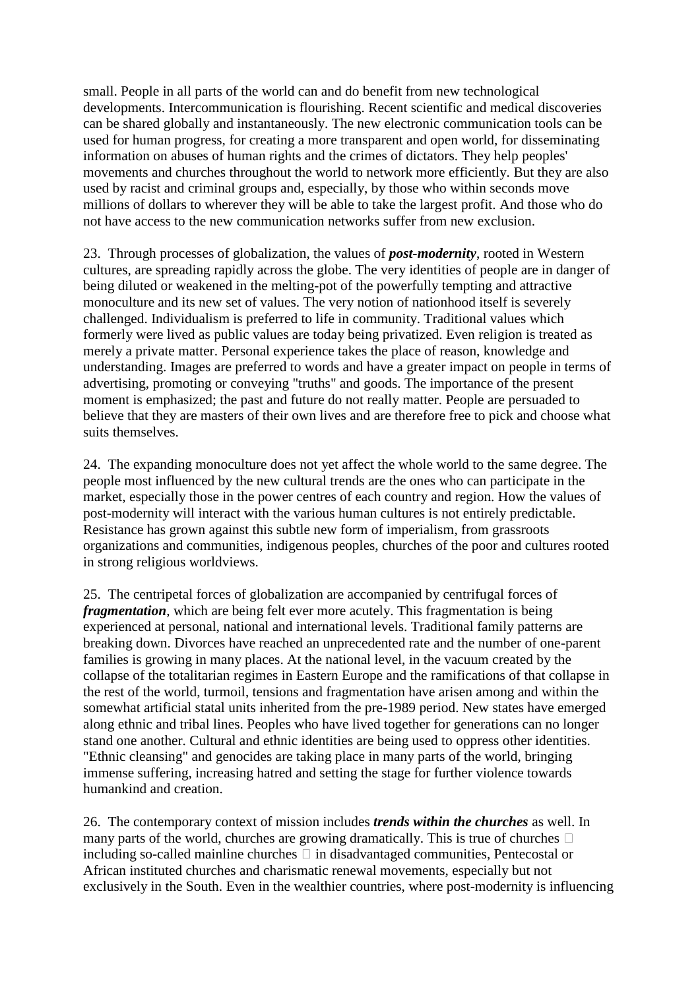small. People in all parts of the world can and do benefit from new technological developments. Intercommunication is flourishing. Recent scientific and medical discoveries can be shared globally and instantaneously. The new electronic communication tools can be used for human progress, for creating a more transparent and open world, for disseminating information on abuses of human rights and the crimes of dictators. They help peoples' movements and churches throughout the world to network more efficiently. But they are also used by racist and criminal groups and, especially, by those who within seconds move millions of dollars to wherever they will be able to take the largest profit. And those who do not have access to the new communication networks suffer from new exclusion.

23. Through processes of globalization, the values of *post-modernity*, rooted in Western cultures, are spreading rapidly across the globe. The very identities of people are in danger of being diluted or weakened in the melting-pot of the powerfully tempting and attractive monoculture and its new set of values. The very notion of nationhood itself is severely challenged. Individualism is preferred to life in community. Traditional values which formerly were lived as public values are today being privatized. Even religion is treated as merely a private matter. Personal experience takes the place of reason, knowledge and understanding. Images are preferred to words and have a greater impact on people in terms of advertising, promoting or conveying "truths" and goods. The importance of the present moment is emphasized; the past and future do not really matter. People are persuaded to believe that they are masters of their own lives and are therefore free to pick and choose what suits themselves.

24. The expanding monoculture does not yet affect the whole world to the same degree. The people most influenced by the new cultural trends are the ones who can participate in the market, especially those in the power centres of each country and region. How the values of post-modernity will interact with the various human cultures is not entirely predictable. Resistance has grown against this subtle new form of imperialism, from grassroots organizations and communities, indigenous peoples, churches of the poor and cultures rooted in strong religious worldviews.

25. The centripetal forces of globalization are accompanied by centrifugal forces of *fragmentation*, which are being felt ever more acutely. This fragmentation is being experienced at personal, national and international levels. Traditional family patterns are breaking down. Divorces have reached an unprecedented rate and the number of one-parent families is growing in many places. At the national level, in the vacuum created by the collapse of the totalitarian regimes in Eastern Europe and the ramifications of that collapse in the rest of the world, turmoil, tensions and fragmentation have arisen among and within the somewhat artificial statal units inherited from the pre-1989 period. New states have emerged along ethnic and tribal lines. Peoples who have lived together for generations can no longer stand one another. Cultural and ethnic identities are being used to oppress other identities. "Ethnic cleansing" and genocides are taking place in many parts of the world, bringing immense suffering, increasing hatred and setting the stage for further violence towards humankind and creation.

26. The contemporary context of mission includes *trends within the churches* as well. In many parts of the world, churches are growing dramatically. This is true of churches  $\Box$ including so-called mainline churches  $\Box$  in disadvantaged communities, Pentecostal or African instituted churches and charismatic renewal movements, especially but not exclusively in the South. Even in the wealthier countries, where post-modernity is influencing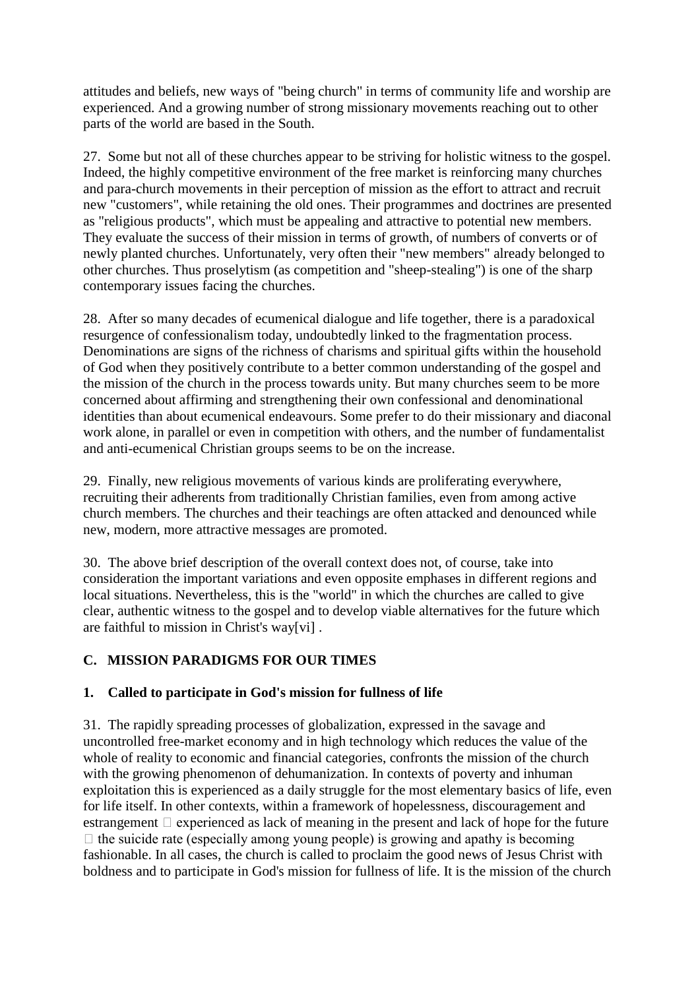attitudes and beliefs, new ways of "being church" in terms of community life and worship are experienced. And a growing number of strong missionary movements reaching out to other parts of the world are based in the South.

27. Some but not all of these churches appear to be striving for holistic witness to the gospel. Indeed, the highly competitive environment of the free market is reinforcing many churches and para-church movements in their perception of mission as the effort to attract and recruit new "customers", while retaining the old ones. Their programmes and doctrines are presented as "religious products", which must be appealing and attractive to potential new members. They evaluate the success of their mission in terms of growth, of numbers of converts or of newly planted churches. Unfortunately, very often their "new members" already belonged to other churches. Thus proselytism (as competition and "sheep-stealing") is one of the sharp contemporary issues facing the churches.

28. After so many decades of ecumenical dialogue and life together, there is a paradoxical resurgence of confessionalism today, undoubtedly linked to the fragmentation process. Denominations are signs of the richness of charisms and spiritual gifts within the household of God when they positively contribute to a better common understanding of the gospel and the mission of the church in the process towards unity. But many churches seem to be more concerned about affirming and strengthening their own confessional and denominational identities than about ecumenical endeavours. Some prefer to do their missionary and diaconal work alone, in parallel or even in competition with others, and the number of fundamentalist and anti-ecumenical Christian groups seems to be on the increase.

29. Finally, new religious movements of various kinds are proliferating everywhere, recruiting their adherents from traditionally Christian families, even from among active church members. The churches and their teachings are often attacked and denounced while new, modern, more attractive messages are promoted.

30. The above brief description of the overall context does not, of course, take into consideration the important variations and even opposite emphases in different regions and local situations. Nevertheless, this is the "world" in which the churches are called to give clear, authentic witness to the gospel and to develop viable alternatives for the future which are faithful to mission in Christ's way[vi] .

# **C. MISSION PARADIGMS FOR OUR TIMES**

#### **1. Called to participate in God's mission for fullness of life**

31. The rapidly spreading processes of globalization, expressed in the savage and uncontrolled free-market economy and in high technology which reduces the value of the whole of reality to economic and financial categories, confronts the mission of the church with the growing phenomenon of dehumanization. In contexts of poverty and inhuman exploitation this is experienced as a daily struggle for the most elementary basics of life, even for life itself. In other contexts, within a framework of hopelessness, discouragement and estrangement  $\Box$  experienced as lack of meaning in the present and lack of hope for the future  $\Box$  the suicide rate (especially among young people) is growing and apathy is becoming fashionable. In all cases, the church is called to proclaim the good news of Jesus Christ with boldness and to participate in God's mission for fullness of life. It is the mission of the church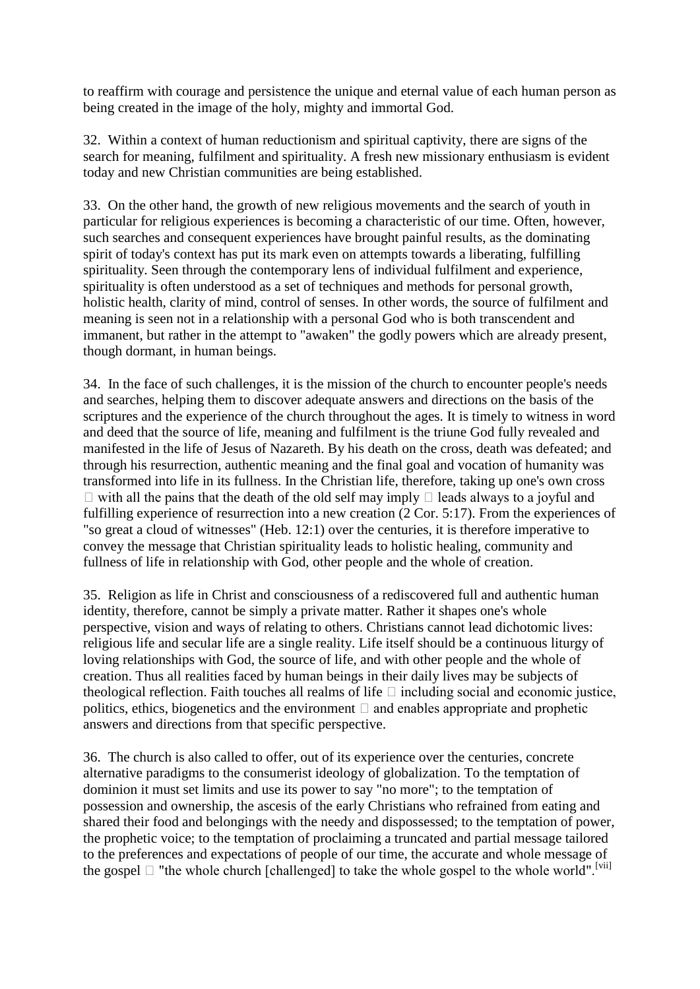to reaffirm with courage and persistence the unique and eternal value of each human person as being created in the image of the holy, mighty and immortal God.

32. Within a context of human reductionism and spiritual captivity, there are signs of the search for meaning, fulfilment and spirituality. A fresh new missionary enthusiasm is evident today and new Christian communities are being established.

33. On the other hand, the growth of new religious movements and the search of youth in particular for religious experiences is becoming a characteristic of our time. Often, however, such searches and consequent experiences have brought painful results, as the dominating spirit of today's context has put its mark even on attempts towards a liberating, fulfilling spirituality. Seen through the contemporary lens of individual fulfilment and experience, spirituality is often understood as a set of techniques and methods for personal growth, holistic health, clarity of mind, control of senses. In other words, the source of fulfilment and meaning is seen not in a relationship with a personal God who is both transcendent and immanent, but rather in the attempt to "awaken" the godly powers which are already present, though dormant, in human beings.

34. In the face of such challenges, it is the mission of the church to encounter people's needs and searches, helping them to discover adequate answers and directions on the basis of the scriptures and the experience of the church throughout the ages. It is timely to witness in word and deed that the source of life, meaning and fulfilment is the triune God fully revealed and manifested in the life of Jesus of Nazareth. By his death on the cross, death was defeated; and through his resurrection, authentic meaning and the final goal and vocation of humanity was transformed into life in its fullness. In the Christian life, therefore, taking up one's own cross  $\Box$  with all the pains that the death of the old self may imply  $\Box$  leads always to a joyful and fulfilling experience of resurrection into a new creation (2 Cor. 5:17). From the experiences of "so great a cloud of witnesses" (Heb. 12:1) over the centuries, it is therefore imperative to convey the message that Christian spirituality leads to holistic healing, community and fullness of life in relationship with God, other people and the whole of creation.

35. Religion as life in Christ and consciousness of a rediscovered full and authentic human identity, therefore, cannot be simply a private matter. Rather it shapes one's whole perspective, vision and ways of relating to others. Christians cannot lead dichotomic lives: religious life and secular life are a single reality. Life itself should be a continuous liturgy of loving relationships with God, the source of life, and with other people and the whole of creation. Thus all realities faced by human beings in their daily lives may be subjects of theological reflection. Faith touches all realms of life  $\Box$  including social and economic justice, politics, ethics, biogenetics and the environment  $\Box$  and enables appropriate and prophetic answers and directions from that specific perspective.

36. The church is also called to offer, out of its experience over the centuries, concrete alternative paradigms to the consumerist ideology of globalization. To the temptation of dominion it must set limits and use its power to say "no more"; to the temptation of possession and ownership, the ascesis of the early Christians who refrained from eating and shared their food and belongings with the needy and dispossessed; to the temptation of power, the prophetic voice; to the temptation of proclaiming a truncated and partial message tailored to the preferences and expectations of people of our time, the accurate and whole message of the gospel  $\Box$  "the whole church [challenged] to take the whole gospel to the whole world".<sup>[vii]</sup>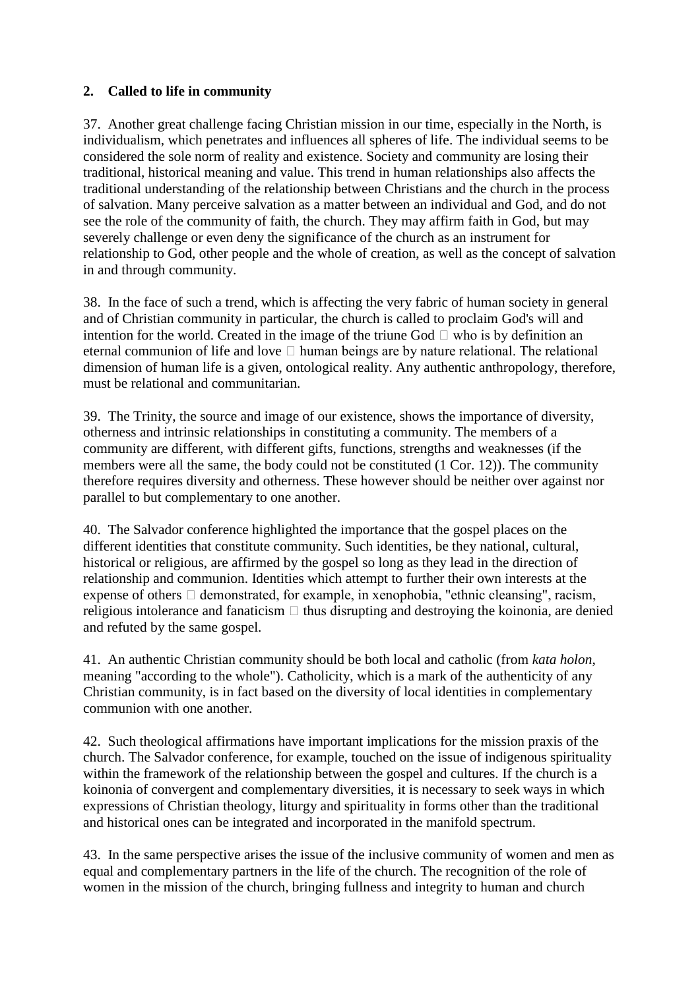### **2. Called to life in community**

37. Another great challenge facing Christian mission in our time, especially in the North, is individualism, which penetrates and influences all spheres of life. The individual seems to be considered the sole norm of reality and existence. Society and community are losing their traditional, historical meaning and value. This trend in human relationships also affects the traditional understanding of the relationship between Christians and the church in the process of salvation. Many perceive salvation as a matter between an individual and God, and do not see the role of the community of faith, the church. They may affirm faith in God, but may severely challenge or even deny the significance of the church as an instrument for relationship to God, other people and the whole of creation, as well as the concept of salvation in and through community.

38. In the face of such a trend, which is affecting the very fabric of human society in general and of Christian community in particular, the church is called to proclaim God's will and intention for the world. Created in the image of the triune God  $\Box$  who is by definition an eternal communion of life and love  $\Box$  human beings are by nature relational. The relational dimension of human life is a given, ontological reality. Any authentic anthropology, therefore, must be relational and communitarian.

39. The Trinity, the source and image of our existence, shows the importance of diversity, otherness and intrinsic relationships in constituting a community. The members of a community are different, with different gifts, functions, strengths and weaknesses (if the members were all the same, the body could not be constituted (1 Cor. 12)). The community therefore requires diversity and otherness. These however should be neither over against nor parallel to but complementary to one another.

40. The Salvador conference highlighted the importance that the gospel places on the different identities that constitute community. Such identities, be they national, cultural, historical or religious, are affirmed by the gospel so long as they lead in the direction of relationship and communion. Identities which attempt to further their own interests at the expense of others  $\Box$  demonstrated, for example, in xenophobia, "ethnic cleansing", racism, religious intolerance and fanaticism  $\Box$  thus disrupting and destroying the koinonia, are denied and refuted by the same gospel.

41. An authentic Christian community should be both local and catholic (from *kata holon*, meaning "according to the whole"). Catholicity, which is a mark of the authenticity of any Christian community, is in fact based on the diversity of local identities in complementary communion with one another.

42. Such theological affirmations have important implications for the mission praxis of the church. The Salvador conference, for example, touched on the issue of indigenous spirituality within the framework of the relationship between the gospel and cultures. If the church is a koinonia of convergent and complementary diversities, it is necessary to seek ways in which expressions of Christian theology, liturgy and spirituality in forms other than the traditional and historical ones can be integrated and incorporated in the manifold spectrum.

43. In the same perspective arises the issue of the inclusive community of women and men as equal and complementary partners in the life of the church. The recognition of the role of women in the mission of the church, bringing fullness and integrity to human and church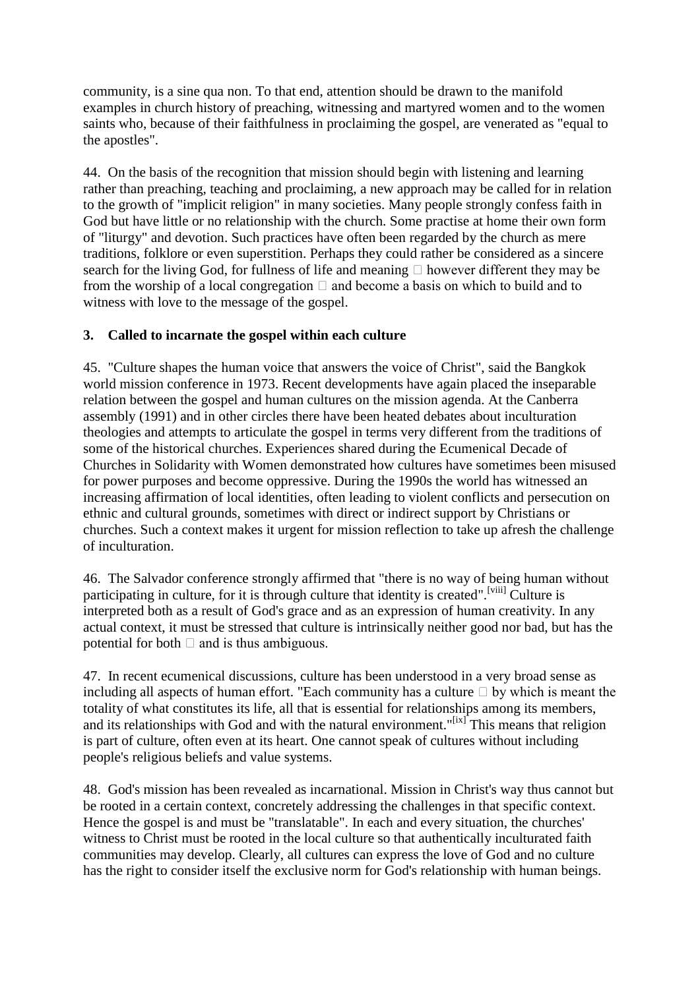community, is a sine qua non. To that end, attention should be drawn to the manifold examples in church history of preaching, witnessing and martyred women and to the women saints who, because of their faithfulness in proclaiming the gospel, are venerated as "equal to the apostles".

44. On the basis of the recognition that mission should begin with listening and learning rather than preaching, teaching and proclaiming, a new approach may be called for in relation to the growth of "implicit religion" in many societies. Many people strongly confess faith in God but have little or no relationship with the church. Some practise at home their own form of "liturgy" and devotion. Such practices have often been regarded by the church as mere traditions, folklore or even superstition. Perhaps they could rather be considered as a sincere search for the living God, for fullness of life and meaning  $\Box$  however different they may be from the worship of a local congregation  $\Box$  and become a basis on which to build and to witness with love to the message of the gospel.

### **3. Called to incarnate the gospel within each culture**

45. "Culture shapes the human voice that answers the voice of Christ", said the Bangkok world mission conference in 1973. Recent developments have again placed the inseparable relation between the gospel and human cultures on the mission agenda. At the Canberra assembly (1991) and in other circles there have been heated debates about inculturation theologies and attempts to articulate the gospel in terms very different from the traditions of some of the historical churches. Experiences shared during the Ecumenical Decade of Churches in Solidarity with Women demonstrated how cultures have sometimes been misused for power purposes and become oppressive. During the 1990s the world has witnessed an increasing affirmation of local identities, often leading to violent conflicts and persecution on ethnic and cultural grounds, sometimes with direct or indirect support by Christians or churches. Such a context makes it urgent for mission reflection to take up afresh the challenge of inculturation.

46. The Salvador conference strongly affirmed that "there is no way of being human without participating in culture, for it is through culture that identity is created".<sup>[viii]</sup> Culture is interpreted both as a result of God's grace and as an expression of human creativity. In any actual context, it must be stressed that culture is intrinsically neither good nor bad, but has the potential for both  $\Box$  and is thus ambiguous.

47. In recent ecumenical discussions, culture has been understood in a very broad sense as including all aspects of human effort. "Each community has a culture  $\Box$  by which is meant the totality of what constitutes its life, all that is essential for relationships among its members, and its relationships with God and with the natural environment."[ix] This means that religion is part of culture, often even at its heart. One cannot speak of cultures without including people's religious beliefs and value systems.

48. God's mission has been revealed as incarnational. Mission in Christ's way thus cannot but be rooted in a certain context, concretely addressing the challenges in that specific context. Hence the gospel is and must be "translatable". In each and every situation, the churches' witness to Christ must be rooted in the local culture so that authentically inculturated faith communities may develop. Clearly, all cultures can express the love of God and no culture has the right to consider itself the exclusive norm for God's relationship with human beings.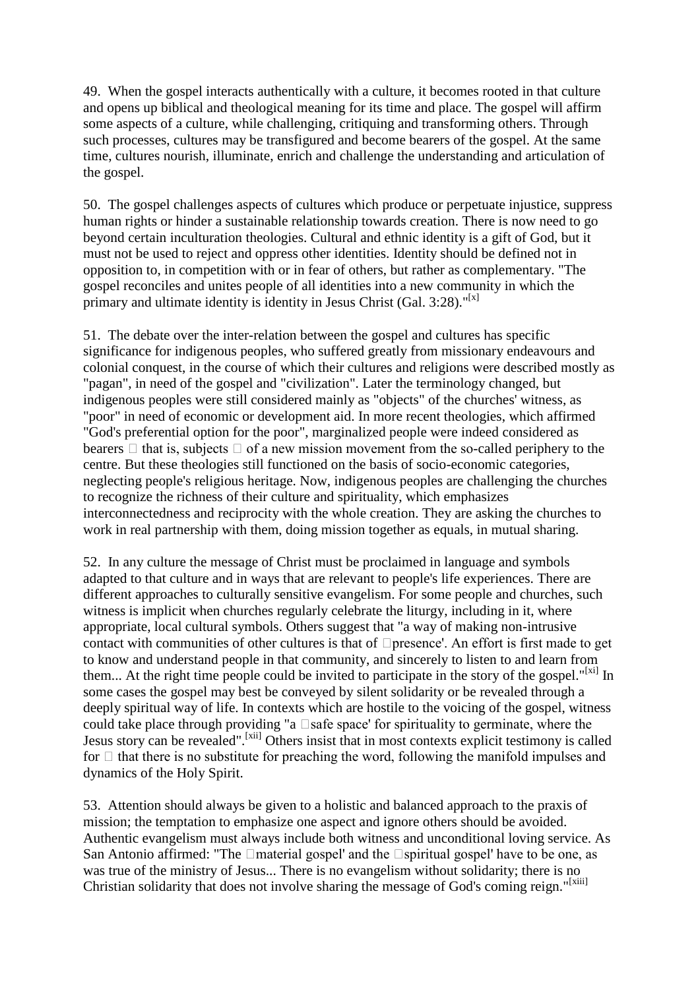49. When the gospel interacts authentically with a culture, it becomes rooted in that culture and opens up biblical and theological meaning for its time and place. The gospel will affirm some aspects of a culture, while challenging, critiquing and transforming others. Through such processes, cultures may be transfigured and become bearers of the gospel. At the same time, cultures nourish, illuminate, enrich and challenge the understanding and articulation of the gospel.

50. The gospel challenges aspects of cultures which produce or perpetuate injustice, suppress human rights or hinder a sustainable relationship towards creation. There is now need to go beyond certain inculturation theologies. Cultural and ethnic identity is a gift of God, but it must not be used to reject and oppress other identities. Identity should be defined not in opposition to, in competition with or in fear of others, but rather as complementary. "The gospel reconciles and unites people of all identities into a new community in which the primary and ultimate identity is identity in Jesus Christ (Gal. 3:28).<sup>"[x]</sup>

51. The debate over the inter-relation between the gospel and cultures has specific significance for indigenous peoples, who suffered greatly from missionary endeavours and colonial conquest, in the course of which their cultures and religions were described mostly as "pagan", in need of the gospel and "civilization". Later the terminology changed, but indigenous peoples were still considered mainly as "objects" of the churches' witness, as "poor" in need of economic or development aid. In more recent theologies, which affirmed "God's preferential option for the poor", marginalized people were indeed considered as bearers  $\Box$  that is, subjects  $\Box$  of a new mission movement from the so-called periphery to the centre. But these theologies still functioned on the basis of socio-economic categories, neglecting people's religious heritage. Now, indigenous peoples are challenging the churches to recognize the richness of their culture and spirituality, which emphasizes interconnectedness and reciprocity with the whole creation. They are asking the churches to work in real partnership with them, doing mission together as equals, in mutual sharing.

52. In any culture the message of Christ must be proclaimed in language and symbols adapted to that culture and in ways that are relevant to people's life experiences. There are different approaches to culturally sensitive evangelism. For some people and churches, such witness is implicit when churches regularly celebrate the liturgy, including in it, where appropriate, local cultural symbols. Others suggest that "a way of making non-intrusive contact with communities of other cultures is that of  $\Box$  presence'. An effort is first made to get to know and understand people in that community, and sincerely to listen to and learn from them... At the right time people could be invited to participate in the story of the gospel."<sup>[xi]</sup> In some cases the gospel may best be conveyed by silent solidarity or be revealed through a deeply spiritual way of life. In contexts which are hostile to the voicing of the gospel, witness could take place through providing "a  $\square$ safe space' for spirituality to germinate, where the Jesus story can be revealed".<sup>[xii]</sup> Others insist that in most contexts explicit testimony is called for  $\Box$  that there is no substitute for preaching the word, following the manifold impulses and dynamics of the Holy Spirit.

53. Attention should always be given to a holistic and balanced approach to the praxis of mission; the temptation to emphasize one aspect and ignore others should be avoided. Authentic evangelism must always include both witness and unconditional loving service. As San Antonio affirmed: "The  $\Box$ material gospel' and the  $\Box$ spiritual gospel' have to be one, as was true of the ministry of Jesus... There is no evangelism without solidarity; there is no Christian solidarity that does not involve sharing the message of God's coming reign."<sup>[xiii]</sup>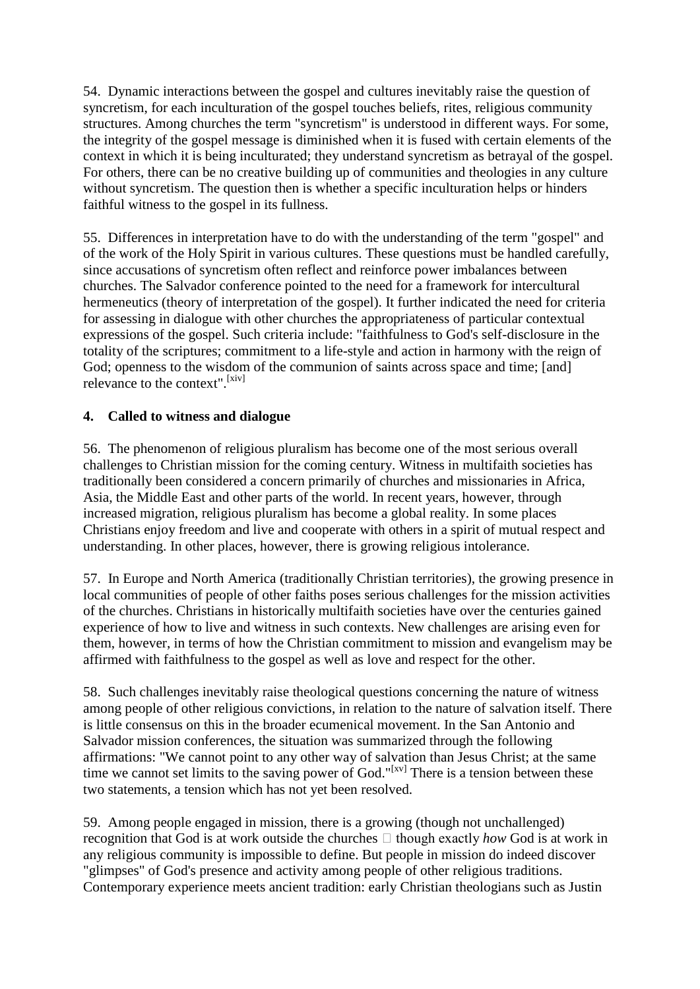54. Dynamic interactions between the gospel and cultures inevitably raise the question of syncretism, for each inculturation of the gospel touches beliefs, rites, religious community structures. Among churches the term "syncretism" is understood in different ways. For some, the integrity of the gospel message is diminished when it is fused with certain elements of the context in which it is being inculturated; they understand syncretism as betrayal of the gospel. For others, there can be no creative building up of communities and theologies in any culture without syncretism. The question then is whether a specific inculturation helps or hinders faithful witness to the gospel in its fullness.

55. Differences in interpretation have to do with the understanding of the term "gospel" and of the work of the Holy Spirit in various cultures. These questions must be handled carefully, since accusations of syncretism often reflect and reinforce power imbalances between churches. The Salvador conference pointed to the need for a framework for intercultural hermeneutics (theory of interpretation of the gospel). It further indicated the need for criteria for assessing in dialogue with other churches the appropriateness of particular contextual expressions of the gospel. Such criteria include: "faithfulness to God's self-disclosure in the totality of the scriptures; commitment to a life-style and action in harmony with the reign of God; openness to the wisdom of the communion of saints across space and time; [and] relevance to the context".<sup>[xiv]</sup>

### **4. Called to witness and dialogue**

56. The phenomenon of religious pluralism has become one of the most serious overall challenges to Christian mission for the coming century. Witness in multifaith societies has traditionally been considered a concern primarily of churches and missionaries in Africa, Asia, the Middle East and other parts of the world. In recent years, however, through increased migration, religious pluralism has become a global reality. In some places Christians enjoy freedom and live and cooperate with others in a spirit of mutual respect and understanding. In other places, however, there is growing religious intolerance.

57. In Europe and North America (traditionally Christian territories), the growing presence in local communities of people of other faiths poses serious challenges for the mission activities of the churches. Christians in historically multifaith societies have over the centuries gained experience of how to live and witness in such contexts. New challenges are arising even for them, however, in terms of how the Christian commitment to mission and evangelism may be affirmed with faithfulness to the gospel as well as love and respect for the other.

58. Such challenges inevitably raise theological questions concerning the nature of witness among people of other religious convictions, in relation to the nature of salvation itself. There is little consensus on this in the broader ecumenical movement. In the San Antonio and Salvador mission conferences, the situation was summarized through the following affirmations: "We cannot point to any other way of salvation than Jesus Christ; at the same time we cannot set limits to the saving power of God." $[xv]$  There is a tension between these two statements, a tension which has not yet been resolved.

59. Among people engaged in mission, there is a growing (though not unchallenged) recognition that God is at work outside the churches  $\Box$  though exactly *how* God is at work in any religious community is impossible to define. But people in mission do indeed discover "glimpses" of God's presence and activity among people of other religious traditions. Contemporary experience meets ancient tradition: early Christian theologians such as Justin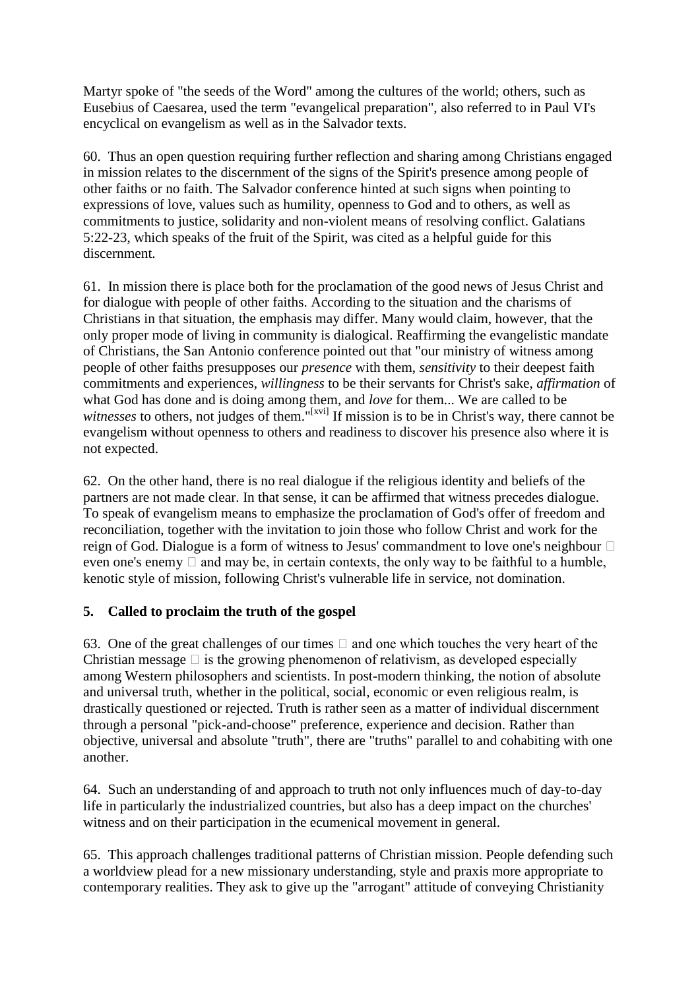Martyr spoke of "the seeds of the Word" among the cultures of the world; others, such as Eusebius of Caesarea, used the term "evangelical preparation", also referred to in Paul VI's encyclical on evangelism as well as in the Salvador texts.

60. Thus an open question requiring further reflection and sharing among Christians engaged in mission relates to the discernment of the signs of the Spirit's presence among people of other faiths or no faith. The Salvador conference hinted at such signs when pointing to expressions of love, values such as humility, openness to God and to others, as well as commitments to justice, solidarity and non-violent means of resolving conflict. Galatians 5:22-23, which speaks of the fruit of the Spirit, was cited as a helpful guide for this discernment.

61. In mission there is place both for the proclamation of the good news of Jesus Christ and for dialogue with people of other faiths. According to the situation and the charisms of Christians in that situation, the emphasis may differ. Many would claim, however, that the only proper mode of living in community is dialogical. Reaffirming the evangelistic mandate of Christians, the San Antonio conference pointed out that "our ministry of witness among people of other faiths presupposes our *presence* with them, *sensitivity* to their deepest faith commitments and experiences, *willingness* to be their servants for Christ's sake, *affirmation* of what God has done and is doing among them, and *love* for them... We are called to be *witnesses* to others, not judges of them."<sup>[xvi]</sup> If mission is to be in Christ's way, there cannot be evangelism without openness to others and readiness to discover his presence also where it is not expected.

62. On the other hand, there is no real dialogue if the religious identity and beliefs of the partners are not made clear. In that sense, it can be affirmed that witness precedes dialogue. To speak of evangelism means to emphasize the proclamation of God's offer of freedom and reconciliation, together with the invitation to join those who follow Christ and work for the reign of God. Dialogue is a form of witness to Jesus' commandment to love one's neighbour even one's enemy  $\Box$  and may be, in certain contexts, the only way to be faithful to a humble, kenotic style of mission, following Christ's vulnerable life in service, not domination.

#### **5. Called to proclaim the truth of the gospel**

63. One of the great challenges of our times  $\Box$  and one which touches the very heart of the Christian message  $\Box$  is the growing phenomenon of relativism, as developed especially among Western philosophers and scientists. In post-modern thinking, the notion of absolute and universal truth, whether in the political, social, economic or even religious realm, is drastically questioned or rejected. Truth is rather seen as a matter of individual discernment through a personal "pick-and-choose" preference, experience and decision. Rather than objective, universal and absolute "truth", there are "truths" parallel to and cohabiting with one another.

64. Such an understanding of and approach to truth not only influences much of day-to-day life in particularly the industrialized countries, but also has a deep impact on the churches' witness and on their participation in the ecumenical movement in general.

65. This approach challenges traditional patterns of Christian mission. People defending such a worldview plead for a new missionary understanding, style and praxis more appropriate to contemporary realities. They ask to give up the "arrogant" attitude of conveying Christianity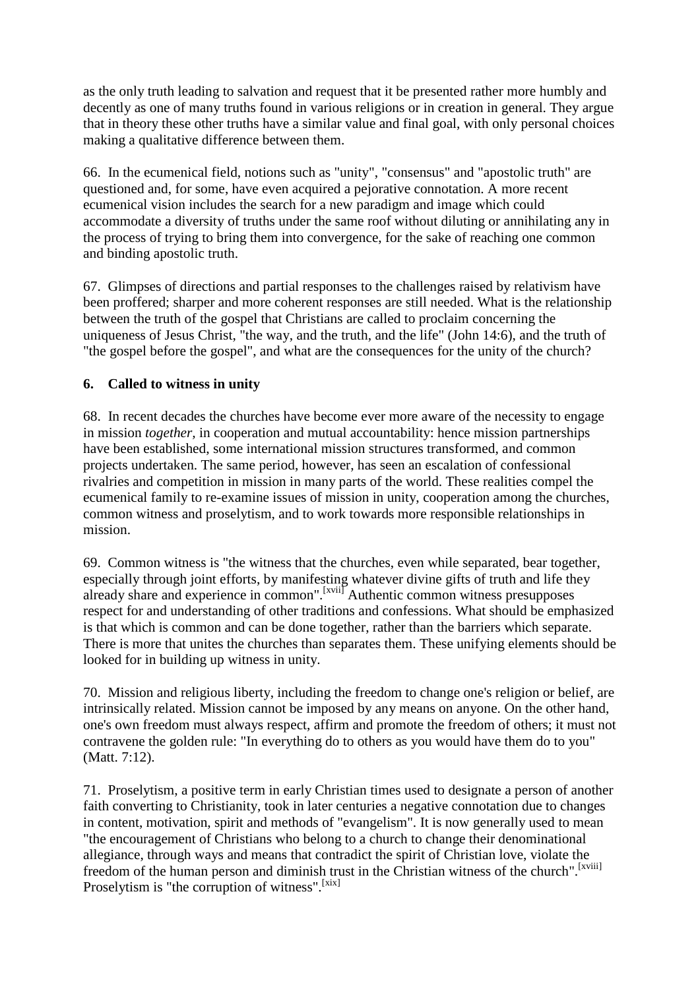as the only truth leading to salvation and request that it be presented rather more humbly and decently as one of many truths found in various religions or in creation in general. They argue that in theory these other truths have a similar value and final goal, with only personal choices making a qualitative difference between them.

66. In the ecumenical field, notions such as "unity", "consensus" and "apostolic truth" are questioned and, for some, have even acquired a pejorative connotation. A more recent ecumenical vision includes the search for a new paradigm and image which could accommodate a diversity of truths under the same roof without diluting or annihilating any in the process of trying to bring them into convergence, for the sake of reaching one common and binding apostolic truth.

67. Glimpses of directions and partial responses to the challenges raised by relativism have been proffered; sharper and more coherent responses are still needed. What is the relationship between the truth of the gospel that Christians are called to proclaim concerning the uniqueness of Jesus Christ, "the way, and the truth, and the life" (John 14:6), and the truth of "the gospel before the gospel", and what are the consequences for the unity of the church?

### **6. Called to witness in unity**

68. In recent decades the churches have become ever more aware of the necessity to engage in mission *together,* in cooperation and mutual accountability: hence mission partnerships have been established, some international mission structures transformed, and common projects undertaken. The same period, however, has seen an escalation of confessional rivalries and competition in mission in many parts of the world. These realities compel the ecumenical family to re-examine issues of mission in unity, cooperation among the churches, common witness and proselytism, and to work towards more responsible relationships in mission.

69. Common witness is "the witness that the churches, even while separated, bear together, especially through joint efforts, by manifesting whatever divine gifts of truth and life they already share and experience in common".<sup>[xvii]</sup> Authentic common witness presupposes respect for and understanding of other traditions and confessions. What should be emphasized is that which is common and can be done together, rather than the barriers which separate. There is more that unites the churches than separates them. These unifying elements should be looked for in building up witness in unity.

70. Mission and religious liberty, including the freedom to change one's religion or belief, are intrinsically related. Mission cannot be imposed by any means on anyone. On the other hand, one's own freedom must always respect, affirm and promote the freedom of others; it must not contravene the golden rule: "In everything do to others as you would have them do to you" (Matt. 7:12).

71. Proselytism, a positive term in early Christian times used to designate a person of another faith converting to Christianity, took in later centuries a negative connotation due to changes in content, motivation, spirit and methods of "evangelism". It is now generally used to mean "the encouragement of Christians who belong to a church to change their denominational allegiance, through ways and means that contradict the spirit of Christian love, violate the freedom of the human person and diminish trust in the Christian witness of the church".<sup>[xviii]</sup> Proselytism is "the corruption of witness".<sup>[xix]</sup>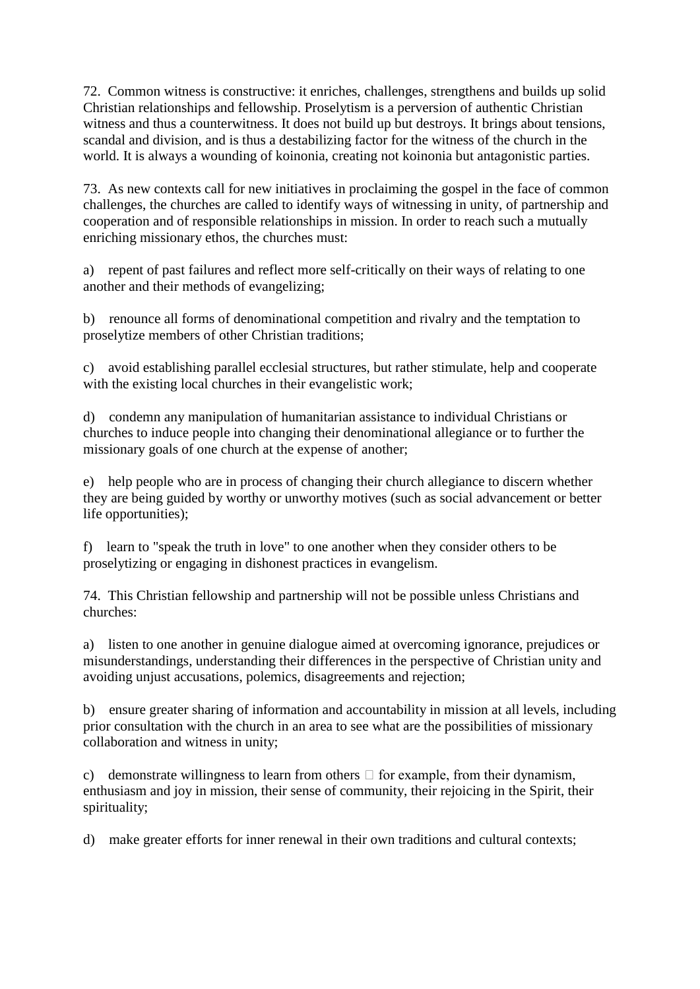72. Common witness is constructive: it enriches, challenges, strengthens and builds up solid Christian relationships and fellowship. Proselytism is a perversion of authentic Christian witness and thus a counterwitness. It does not build up but destroys. It brings about tensions, scandal and division, and is thus a destabilizing factor for the witness of the church in the world. It is always a wounding of koinonia, creating not koinonia but antagonistic parties.

73. As new contexts call for new initiatives in proclaiming the gospel in the face of common challenges, the churches are called to identify ways of witnessing in unity, of partnership and cooperation and of responsible relationships in mission. In order to reach such a mutually enriching missionary ethos, the churches must:

a) repent of past failures and reflect more self-critically on their ways of relating to one another and their methods of evangelizing;

b) renounce all forms of denominational competition and rivalry and the temptation to proselytize members of other Christian traditions;

c) avoid establishing parallel ecclesial structures, but rather stimulate, help and cooperate with the existing local churches in their evangelistic work;

d) condemn any manipulation of humanitarian assistance to individual Christians or churches to induce people into changing their denominational allegiance or to further the missionary goals of one church at the expense of another;

e) help people who are in process of changing their church allegiance to discern whether they are being guided by worthy or unworthy motives (such as social advancement or better life opportunities);

f) learn to "speak the truth in love" to one another when they consider others to be proselytizing or engaging in dishonest practices in evangelism.

74. This Christian fellowship and partnership will not be possible unless Christians and churches:

a) listen to one another in genuine dialogue aimed at overcoming ignorance, prejudices or misunderstandings, understanding their differences in the perspective of Christian unity and avoiding unjust accusations, polemics, disagreements and rejection;

b) ensure greater sharing of information and accountability in mission at all levels, including prior consultation with the church in an area to see what are the possibilities of missionary collaboration and witness in unity;

c) demonstrate willingness to learn from others  $\Box$  for example, from their dynamism, enthusiasm and joy in mission, their sense of community, their rejoicing in the Spirit, their spirituality;

d) make greater efforts for inner renewal in their own traditions and cultural contexts;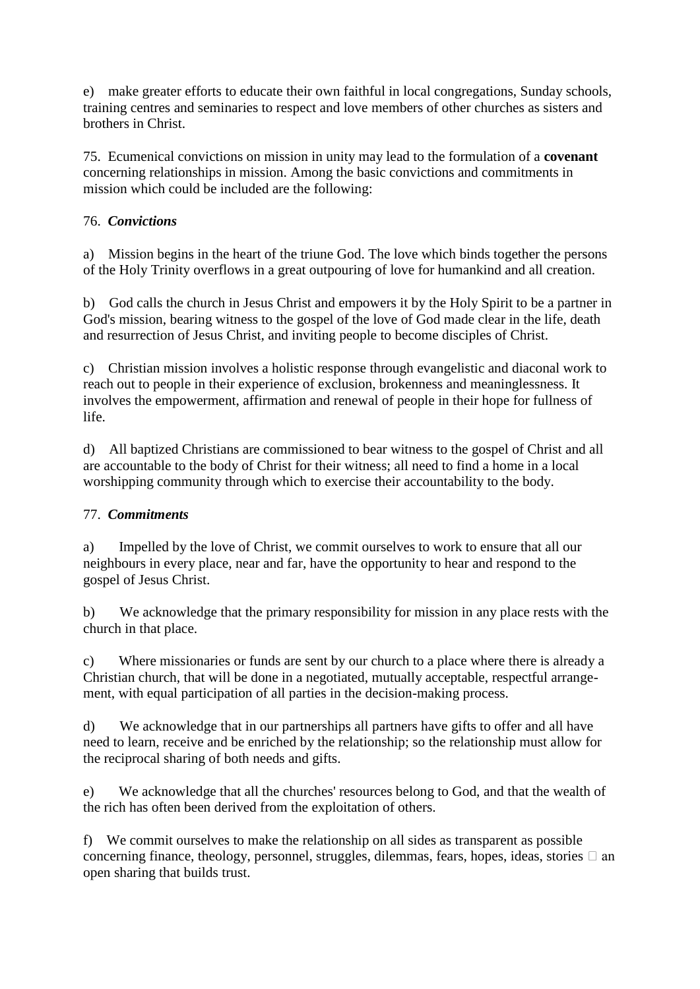e) make greater efforts to educate their own faithful in local congregations, Sunday schools, training centres and seminaries to respect and love members of other churches as sisters and brothers in Christ.

75. Ecumenical convictions on mission in unity may lead to the formulation of a **covenant** concerning relationships in mission. Among the basic convictions and commitments in mission which could be included are the following:

#### 76. *Convictions*

a) Mission begins in the heart of the triune God. The love which binds together the persons of the Holy Trinity overflows in a great outpouring of love for humankind and all creation.

b) God calls the church in Jesus Christ and empowers it by the Holy Spirit to be a partner in God's mission, bearing witness to the gospel of the love of God made clear in the life, death and resurrection of Jesus Christ, and inviting people to become disciples of Christ.

c) Christian mission involves a holistic response through evangelistic and diaconal work to reach out to people in their experience of exclusion, brokenness and meaninglessness. It involves the empowerment, affirmation and renewal of people in their hope for fullness of life.

d) All baptized Christians are commissioned to bear witness to the gospel of Christ and all are accountable to the body of Christ for their witness; all need to find a home in a local worshipping community through which to exercise their accountability to the body.

#### 77. *Commitments*

a) Impelled by the love of Christ, we commit ourselves to work to ensure that all our neighbours in every place, near and far, have the opportunity to hear and respond to the gospel of Jesus Christ.

b) We acknowledge that the primary responsibility for mission in any place rests with the church in that place.

c) Where missionaries or funds are sent by our church to a place where there is already a Christian church, that will be done in a negotiated, mutually acceptable, respectful arrangement, with equal participation of all parties in the decision-making process.

d) We acknowledge that in our partnerships all partners have gifts to offer and all have need to learn, receive and be enriched by the relationship; so the relationship must allow for the reciprocal sharing of both needs and gifts.

e) We acknowledge that all the churches' resources belong to God, and that the wealth of the rich has often been derived from the exploitation of others.

f) We commit ourselves to make the relationship on all sides as transparent as possible concerning finance, theology, personnel, struggles, dilemmas, fears, hopes, ideas, stories  $\Box$  and open sharing that builds trust.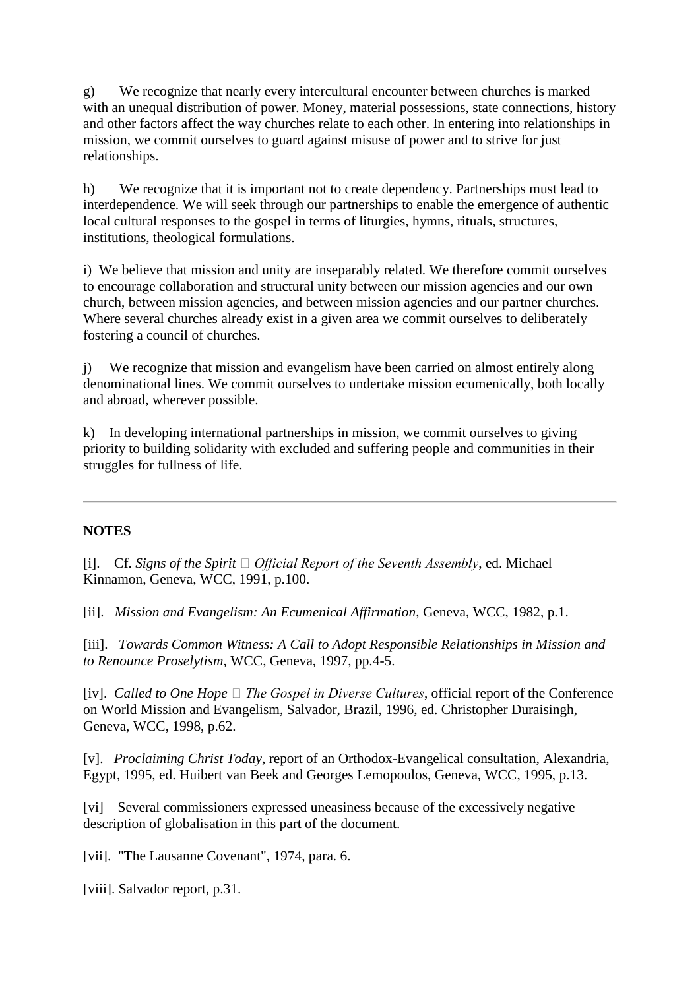g) We recognize that nearly every intercultural encounter between churches is marked with an unequal distribution of power. Money, material possessions, state connections, history and other factors affect the way churches relate to each other. In entering into relationships in mission, we commit ourselves to guard against misuse of power and to strive for just relationships.

h) We recognize that it is important not to create dependency. Partnerships must lead to interdependence. We will seek through our partnerships to enable the emergence of authentic local cultural responses to the gospel in terms of liturgies, hymns, rituals, structures, institutions, theological formulations.

i) We believe that mission and unity are inseparably related. We therefore commit ourselves to encourage collaboration and structural unity between our mission agencies and our own church, between mission agencies, and between mission agencies and our partner churches. Where several churches already exist in a given area we commit ourselves to deliberately fostering a council of churches.

j) We recognize that mission and evangelism have been carried on almost entirely along denominational lines. We commit ourselves to undertake mission ecumenically, both locally and abroad, wherever possible.

k) In developing international partnerships in mission, we commit ourselves to giving priority to building solidarity with excluded and suffering people and communities in their struggles for fullness of life.

#### **NOTES**

[i]. Cf. *Signs of the Spirit*  $\Box$  *Official Report of the Seventh Assembly, ed. Michael* Kinnamon, Geneva, WCC, 1991, p.100.

[ii]. *Mission and Evangelism: An Ecumenical Affirmation*, Geneva, WCC, 1982, p.1.

[iii]. *Towards Common Witness: A Call to Adopt Responsible Relationships in Mission and to Renounce Proselytism*, WCC, Geneva, 1997, pp.4-5.

[iv]. *Called to One Hope The Gospel in Diverse Cultures*, official report of the Conference on World Mission and Evangelism, Salvador, Brazil, 1996, ed. Christopher Duraisingh, Geneva, WCC, 1998, p.62.

[v]. *Proclaiming Christ Today*, report of an Orthodox-Evangelical consultation, Alexandria, Egypt, 1995, ed. Huibert van Beek and Georges Lemopoulos, Geneva, WCC, 1995, p.13.

[vi] Several commissioners expressed uneasiness because of the excessively negative description of globalisation in this part of the document.

[vii]. "The Lausanne Covenant", 1974, para. 6.

[viii]. Salvador report, p.31.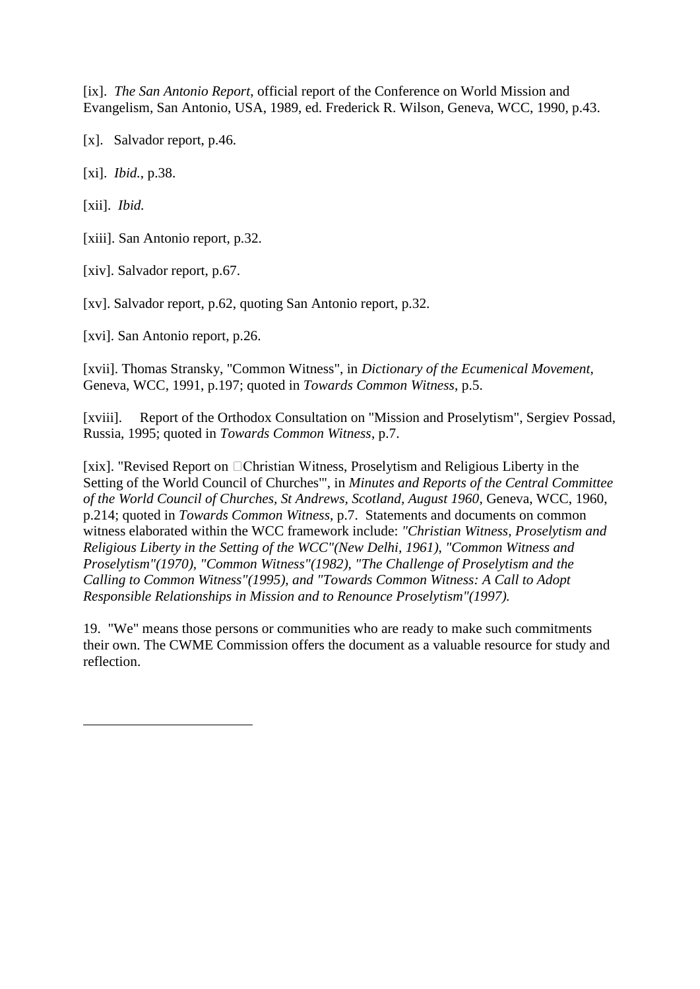[ix]. *The San Antonio Report*, official report of the Conference on World Mission and Evangelism, San Antonio, USA, 1989, ed. Frederick R. Wilson, Geneva, WCC, 1990, p.43.

[x]. Salvador report, p.46.

[xi]. *Ibid.*, p.38.

[xii]. *Ibid.*

 $\overline{a}$ 

[xiii]. San Antonio report, p.32.

[xiv]. Salvador report, p.67.

[xv]. Salvador report, p.62, quoting San Antonio report, p.32.

[xvi]. San Antonio report, p.26.

[xvii]. Thomas Stransky, "Common Witness", in *Dictionary of the Ecumenical Movement*, Geneva, WCC, 1991, p.197; quoted in *Towards Common Witness*, p.5.

[xviii]. Report of the Orthodox Consultation on "Mission and Proselytism", Sergiev Possad, Russia, 1995; quoted in *Towards Common Witness*, p.7.

[xix]. "Revised Report on  $\Box$ Christian Witness, Proselytism and Religious Liberty in the Setting of the World Council of Churches'", in *Minutes and Reports of the Central Committee of the World Council of Churches, St Andrews, Scotland, August 1960*, Geneva, WCC, 1960, p.214; quoted in *Towards Common Witness*, p.7. Statements and documents on common witness elaborated within the WCC framework include: *"Christian Witness, Proselytism and Religious Liberty in the Setting of the WCC"(New Delhi, 1961), "Common Witness and Proselytism"(1970), "Common Witness"(1982), "The Challenge of Proselytism and the Calling to Common Witness"(1995), and "Towards Common Witness: A Call to Adopt Responsible Relationships in Mission and to Renounce Proselytism"(1997).*

19. "We" means those persons or communities who are ready to make such commitments their own. The CWME Commission offers the document as a valuable resource for study and reflection.